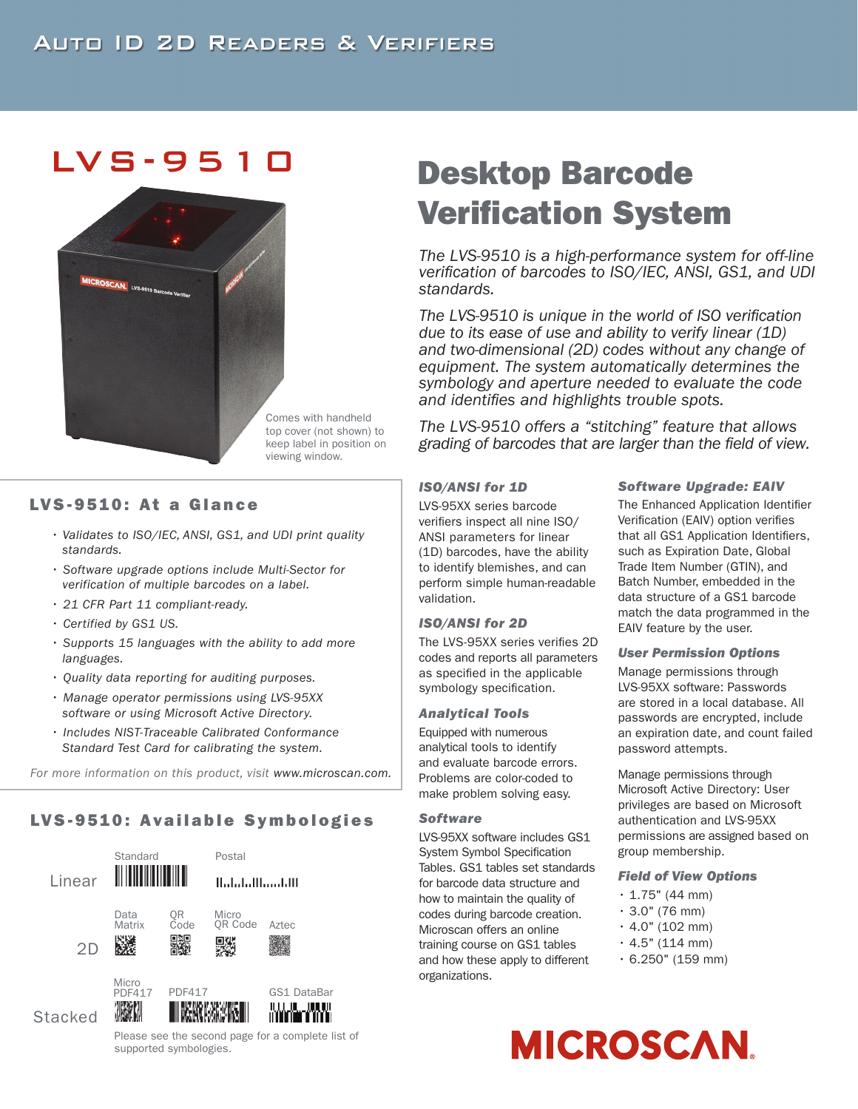## LVS-9510



Comes with handheld top cover (not shown) to keep label in position on viewing window.

#### LVS-9510: At a Glance

- *Validates to ISO/IEC, ANSI, GS1, and UDI print quality standards.*
- *Software upgrade options include Multi-Sector for verification of multiple barcodes on a label.*
- *21 CFR Part 11 compliant-ready.*
- *Certified by GS1 US.*
- *Supports 15 languages with the ability to add more languages.*
- *Quality data reporting for auditing purposes.*
- *Manage operator permissions using LVS-95XX software or using Microsoft Active Directory.*
- *Includes NIST-Traceable Calibrated Conformance Standard Test Card for calibrating the system.*

*For more information on this product, visit www.microscan.com.*

### LVS-9510: Available Symbologies



supported symbologies.

# Desktop Barcode Verification System

*The LVS-9510 is a high-performance system for off-line verification of barcodes to ISO/IEC, ANSI, GS1, and UDI standards.* 

*The LVS-9510 is unique in the world of ISO verification due to its ease of use and ability to verify linear (1D) and two-dimensional (2D) codes without any change of equipment. The system automatically determines the symbology and aperture needed to evaluate the code and identifies and highlights trouble spots.* 

*The LVS-9510 offers a "stitching" feature that allows grading of barcodes that are larger than the field of view.* 

#### *ISO/ANSI for 1D*

LVS-95XX series barcode verifiers inspect all nine ISO/ ANSI parameters for linear (1D) barcodes, have the ability to identify blemishes, and can perform simple human-readable validation.

#### *ISO/ANSI for 2D*

The LVS-95XX series verifies 2D codes and reports all parameters as specified in the applicable symbology specification.

#### *Analytical Tools*

Equipped with numerous analytical tools to identify and evaluate barcode errors. Problems are color-coded to make problem solving easy.

#### *Software*

LVS-95XX software includes GS1 System Symbol Specification Tables. GS1 tables set standards for barcode data structure and how to maintain the quality of codes during barcode creation. Microscan offers an online training course on GS1 tables and how these apply to different organizations.

#### *Software Upgrade: EAIV*

The Enhanced Application Identifier Verification (EAIV) option verifies that all GS1 Application Identifiers, such as Expiration Date, Global Trade Item Number (GTIN), and Batch Number, embedded in the data structure of a GS1 barcode match the data programmed in the EAIV feature by the user.

#### *User Permission Options*

Manage permissions through LVS-95XX software: Passwords are stored in a local database. All passwords are encrypted, include an expiration date, and count failed password attempts.

Manage permissions through Microsoft Active Directory: User privileges are based on Microsoft authentication and LVS-95XX permissions are assigned based on group membership.

#### *Field of View Options*

- $\cdot$  1.75" (44 mm)
- $\cdot$  3.0" (76 mm)
- $\cdot$  4.0" (102 mm)
- $\cdot$  4.5" (114 mm)
- $\cdot$  6.250" (159 mm)